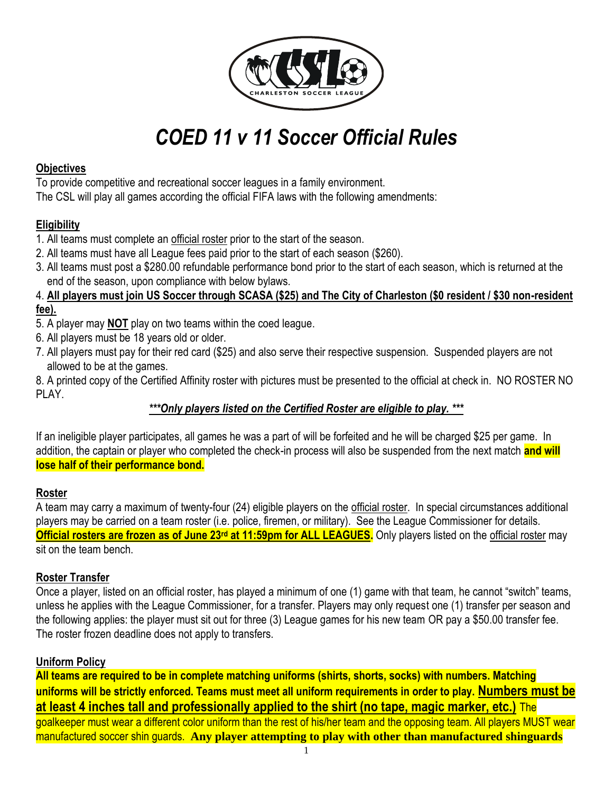

# *COED 11 v 11 Soccer Official Rules*

## **Objectives**

To provide competitive and recreational soccer leagues in a family environment. The CSL will play all games according the official FIFA laws with the following amendments:

# **Eligibility**

- 1. All teams must complete an official roster prior to the start of the season.
- 2. All teams must have all League fees paid prior to the start of each season (\$260).
- 3. All teams must post a \$280.00 refundable performance bond prior to the start of each season, which is returned at the end of the season, upon compliance with below bylaws.

### 4. **All players must join US Soccer through SCASA (\$25) and The City of Charleston (\$0 resident / \$30 non-resident fee).**

- 5. A player may **NOT** play on two teams within the coed league.
- 6. All players must be 18 years old or older.
- 7. All players must pay for their red card (\$25) and also serve their respective suspension. Suspended players are not allowed to be at the games.

8. A printed copy of the Certified Affinity roster with pictures must be presented to the official at check in. NO ROSTER NO PI AY

# *\*\*\*Only players listed on the Certified Roster are eligible to play. \*\*\**

If an ineligible player participates, all games he was a part of will be forfeited and he will be charged \$25 per game. In addition, the captain or player who completed the check-in process will also be suspended from the next match **and will lose half of their performance bond.**

## **Roster**

A team may carry a maximum of twenty-four (24) eligible players on the official roster. In special circumstances additional players may be carried on a team roster (i.e. police, firemen, or military). See the League Commissioner for details. **Official rosters are frozen as of June 23rd at 11:59pm for ALL LEAGUES.** Only players listed on the official roster may sit on the team bench.

## **Roster Transfer**

Once a player, listed on an official roster, has played a minimum of one (1) game with that team, he cannot "switch" teams, unless he applies with the League Commissioner, for a transfer. Players may only request one (1) transfer per season and the following applies: the player must sit out for three (3) League games for his new team OR pay a \$50.00 transfer fee. The roster frozen deadline does not apply to transfers.

## **Uniform Policy**

**All teams are required to be in complete matching uniforms (shirts, shorts, socks) with numbers. Matching uniforms will be strictly enforced. Teams must meet all uniform requirements in order to play. Numbers must be at least 4 inches tall and professionally applied to the shirt (no tape, magic marker, etc.)** The goalkeeper must wear a different color uniform than the rest of his/her team and the opposing team. All players MUST wear manufactured soccer shin guards. **Any player attempting to play with other than manufactured shinguards**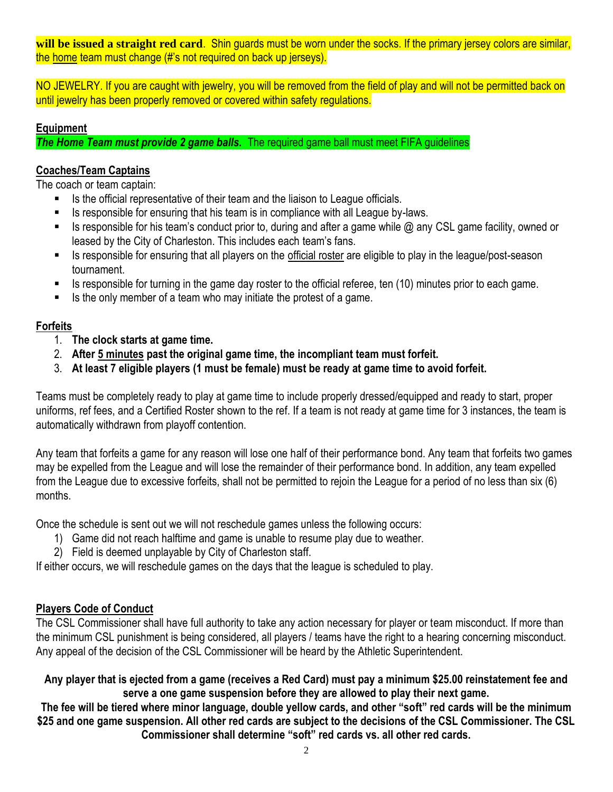**will be issued a straight red card**. Shin guards must be worn under the socks. If the primary jersey colors are similar, the home team must change (#'s not required on back up jerseys).

NO JEWELRY. If you are caught with jewelry, you will be removed from the field of play and will not be permitted back on until jewelry has been properly removed or covered within safety regulations.

## **Equipment**

*The Home Team must provide 2 game balls.* The required game ball must meet FIFA guidelines

## **Coaches/Team Captains**

The coach or team captain:

- Is the official representative of their team and the liaison to League officials.
- Is responsible for ensuring that his team is in compliance with all League by-laws.
- Is responsible for his team's conduct prior to, during and after a game while  $\omega$  any CSL game facility, owned or leased by the City of Charleston. This includes each team's fans.
- Is responsible for ensuring that all players on the official roster are eligible to play in the league/post-season tournament.
- Is responsible for turning in the game day roster to the official referee, ten (10) minutes prior to each game.
- $\blacksquare$  Is the only member of a team who may initiate the protest of a game.

## **Forfeits**

- 1. **The clock starts at game time.**
- 2. **After 5 minutes past the original game time, the incompliant team must forfeit.**
- 3. **At least 7 eligible players (1 must be female) must be ready at game time to avoid forfeit.**

Teams must be completely ready to play at game time to include properly dressed/equipped and ready to start, proper uniforms, ref fees, and a Certified Roster shown to the ref. If a team is not ready at game time for 3 instances, the team is automatically withdrawn from playoff contention.

Any team that forfeits a game for any reason will lose one half of their performance bond. Any team that forfeits two games may be expelled from the League and will lose the remainder of their performance bond. In addition, any team expelled from the League due to excessive forfeits, shall not be permitted to rejoin the League for a period of no less than six (6) months.

Once the schedule is sent out we will not reschedule games unless the following occurs:

- 1) Game did not reach halftime and game is unable to resume play due to weather.
- 2) Field is deemed unplayable by City of Charleston staff.

If either occurs, we will reschedule games on the days that the league is scheduled to play.

## **Players Code of Conduct**

The CSL Commissioner shall have full authority to take any action necessary for player or team misconduct. If more than the minimum CSL punishment is being considered, all players / teams have the right to a hearing concerning misconduct. Any appeal of the decision of the CSL Commissioner will be heard by the Athletic Superintendent.

**Any player that is ejected from a game (receives a Red Card) must pay a minimum \$25.00 reinstatement fee and serve a one game suspension before they are allowed to play their next game.**

**The fee will be tiered where minor language, double yellow cards, and other "soft" red cards will be the minimum \$25 and one game suspension. All other red cards are subject to the decisions of the CSL Commissioner. The CSL Commissioner shall determine "soft" red cards vs. all other red cards.**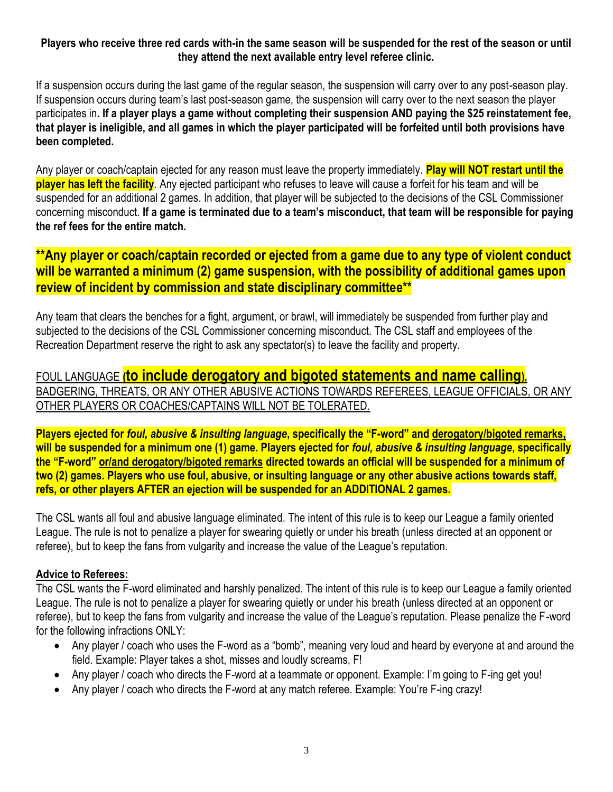## **Players who receive three red cards with-in the same season will be suspended for the rest of the season or until they attend the next available entry level referee clinic.**

If a suspension occurs during the last game of the regular season, the suspension will carry over to any post-season play. If suspension occurs during team's last post-season game, the suspension will carry over to the next season the player participates in**. If a player plays a game without completing their suspension AND paying the \$25 reinstatement fee, that player is ineligible, and all games in which the player participated will be forfeited until both provisions have been completed.** 

Any player or coach/captain ejected for any reason must leave the property immediately. **Play will NOT restart until the player has left the facility**. Any ejected participant who refuses to leave will cause a forfeit for his team and will be suspended for an additional 2 games. In addition, that player will be subjected to the decisions of the CSL Commissioner concerning misconduct. **If a game is terminated due to a team's misconduct, that team will be responsible for paying the ref fees for the entire match.**

# **\*\*Any player or coach/captain recorded or ejected from a game due to any type of violent conduct will be warranted a minimum (2) game suspension, with the possibility of additional games upon review of incident by commission and state disciplinary committee\*\***

Any team that clears the benches for a fight, argument, or brawl, will immediately be suspended from further play and subjected to the decisions of the CSL Commissioner concerning misconduct. The CSL staff and employees of the Recreation Department reserve the right to ask any spectator(s) to leave the facility and property.

FOUL LANGUAGE **(to include derogatory and bigoted statements and name calling),** BADGERING, THREATS, OR ANY OTHER ABUSIVE ACTIONS TOWARDS REFEREES, LEAGUE OFFICIALS, OR ANY OTHER PLAYERS OR COACHES/CAPTAINS WILL NOT BE TOLERATED.

**Players ejected for** *foul, abusive & insulting language***, specifically the "F-word" and derogatory/bigoted remarks, will be suspended for a minimum one (1) game. Players ejected for** *foul, abusive & insulting language***, specifically the "F-word" or/and derogatory/bigoted remarks directed towards an official will be suspended for a minimum of two (2) games. Players who use foul, abusive, or insulting language or any other abusive actions towards staff, refs, or other players AFTER an ejection will be suspended for an ADDITIONAL 2 games.**

The CSL wants all foul and abusive language eliminated. The intent of this rule is to keep our League a family oriented League. The rule is not to penalize a player for swearing quietly or under his breath (unless directed at an opponent or referee), but to keep the fans from vulgarity and increase the value of the League's reputation.

## **Advice to Referees:**

The CSL wants the F-word eliminated and harshly penalized. The intent of this rule is to keep our League a family oriented League. The rule is not to penalize a player for swearing quietly or under his breath (unless directed at an opponent or referee), but to keep the fans from vulgarity and increase the value of the League's reputation. Please penalize the F-word for the following infractions ONLY:

- Any player / coach who uses the F-word as a "bomb", meaning very loud and heard by everyone at and around the field. Example: Player takes a shot, misses and loudly screams, F!
- Any player / coach who directs the F-word at a teammate or opponent. Example: I'm going to F-ing get you!
- Any player / coach who directs the F-word at any match referee. Example: You're F-ing crazy!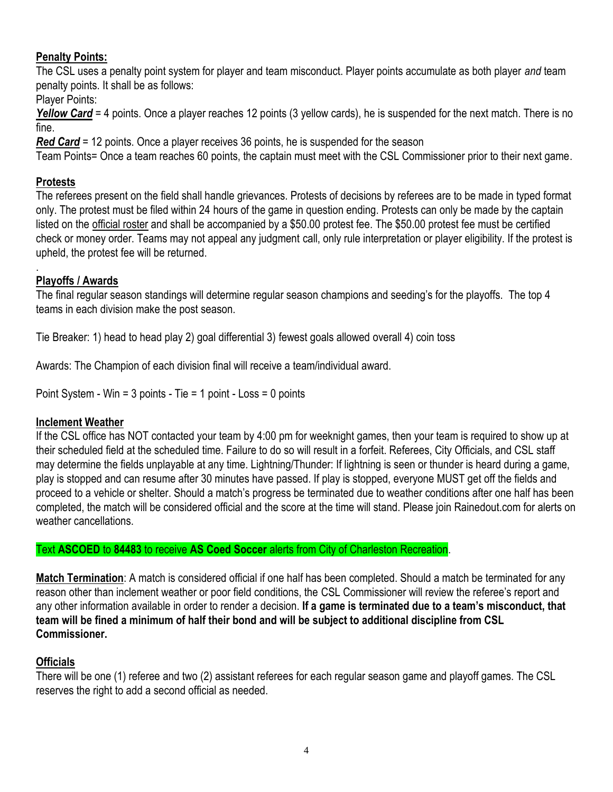## **Penalty Points:**

The CSL uses a penalty point system for player and team misconduct. Player points accumulate as both player *and* team penalty points. It shall be as follows:

Player Points:

*Yellow Card* = 4 points. Once a player reaches 12 points (3 yellow cards), he is suspended for the next match. There is no fine.

*Red Card* = 12 points. Once a player receives 36 points, he is suspended for the season

Team Points= Once a team reaches 60 points, the captain must meet with the CSL Commissioner prior to their next game.

## **Protests**

The referees present on the field shall handle grievances. Protests of decisions by referees are to be made in typed format only. The protest must be filed within 24 hours of the game in question ending. Protests can only be made by the captain listed on the official roster and shall be accompanied by a \$50.00 protest fee. The \$50.00 protest fee must be certified check or money order. Teams may not appeal any judgment call, only rule interpretation or player eligibility. If the protest is upheld, the protest fee will be returned.

#### . **Playoffs / Awards**

The final regular season standings will determine regular season champions and seeding's for the playoffs. The top 4 teams in each division make the post season.

Tie Breaker: 1) head to head play 2) goal differential 3) fewest goals allowed overall 4) coin toss

Awards: The Champion of each division final will receive a team/individual award.

Point System - Win = 3 points - Tie = 1 point - Loss = 0 points

## **Inclement Weather**

If the CSL office has NOT contacted your team by 4:00 pm for weeknight games, then your team is required to show up at their scheduled field at the scheduled time. Failure to do so will result in a forfeit. Referees, City Officials, and CSL staff may determine the fields unplayable at any time. Lightning/Thunder: If lightning is seen or thunder is heard during a game, play is stopped and can resume after 30 minutes have passed. If play is stopped, everyone MUST get off the fields and proceed to a vehicle or shelter. Should a match's progress be terminated due to weather conditions after one half has been completed, the match will be considered official and the score at the time will stand. Please join Rainedout.com for alerts on weather cancellations.

Text **ASCOED** to **84483** to receive **AS Coed Soccer** alerts from City of Charleston Recreation.

**Match Termination**: A match is considered official if one half has been completed. Should a match be terminated for any reason other than inclement weather or poor field conditions, the CSL Commissioner will review the referee's report and any other information available in order to render a decision. **If a game is terminated due to a team's misconduct, that team will be fined a minimum of half their bond and will be subject to additional discipline from CSL Commissioner.**

## **Officials**

There will be one (1) referee and two (2) assistant referees for each regular season game and playoff games. The CSL reserves the right to add a second official as needed.